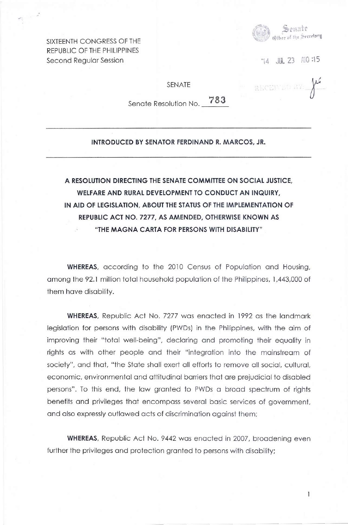

REPUBLIC OF THE PHILIPPINES Second Regular Session  $14$  JUL 23  $A10:15$ 

SIXTEENTH CONGRESS OF THE

SENATE

RECEI

 $\mathbf{I}$ 

Senate Resolution No. **783** 

## **INTRODUCED BY SENATOR FERDINAND R.** MARC OS, **JR.**

## **A RESOLUTION DIRECTING THE SENATE COMMITTEE ON SOCIAL JUSTICE, WELFARE AND RURAL DEVELOPMENT TO CONDUCT AN INQUIRY, IN AID OF LEGISLATION, ABOUT THE STATUS OF THE IMPLEMENTATION OF REPUBLIC ACT NO. 7277, AS AMENDED, OTHERWISE KNOWN AS "THE MAGNA CARTA FOR PERSONS WITH DISABILITY"**

**WHEREAS,** according to the 2010 Census of Population and Housing, among the 92.1 million total household population of the Philippines, 1,443,000 of them have disability.

**WHEREAS,** Republic Act No. 7277 was enacted in 1992 as the landmark legislation for persons with disability (PWDs) in the Philippines, with the aim of improving their "total well-being", declaring and promoting their equality in rights as with other people and their "integration into the mainstream of society", and that, "the State shall exert all efforts to remove all social, cultural, economic, environmental and attitudinal barriers that are prejudicial to disabled persons". To this end, the law granted to PWDs a broad spectrum of rights benefits and privileges that encompass several basic services of government, and also expressly outlawed acts of discrimination against them;

**WHEREAS,** Republic Act No. 9442 was enacted in 2007, broadening even further the privileges and protection granted to persons with disability;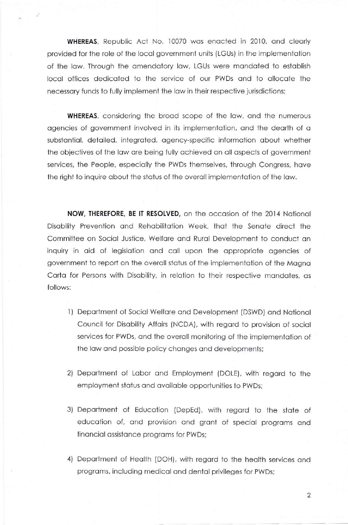**WHEREAS,** Republic Act No. 10070 was enacted in 2010, and clearly provided for the role of the local government units (LGUs) in the implementation of the law. Through the amendatory law, LGUs were mandated to establish local offices dedicated to the service of our PWDs and to allocate the necessary funds to fully implement the law in their respective jurisdictions;

**WHEREAS,** considering the broad scope of the law, and the numerous agencies of government involved in its implementation, and the dearth of a substantial, detailed, integrated, agency-specific information about whether the objectives of the law are being fully achieved on all aspects of government services, the People, especially the PWDs themselves, through Congress, have the right to inquire about the status of the overall implementation of the law.

**NOW, THEREFORE, BE IT RESOLVED,** on the occasion of the 2014 National Disability Prevention and Rehabilitation Week, that the Senate direct the Committee on Social Justice, Welfare and Rural Development to conduct an inquiry in aid of legislation and call upon the appropriate agencies of government to report on the overall status of the implementation of the Magna Carta for Persons with Disability, in relation to their respective mandates, as follows:

- 1) Department of Social Welfare and Development (DSWD) and National Council for Disability Affairs (NCDA), with regard to provision of social services for PWDs, and the overall monitoring of the implementation of the law and possible policy changes and developments;
- 2) Department of Labor and Employment (DOLE), with regard to the employment status and available opportunities to PWDs;
- 3) Department of Education (DepEd), with regard to the state of education of, and provision and grant of special programs and financial assistance programs for PWDs;
- 4) Department of Health (DOH), with regard to the health services and programs, including medical and dental privileges for PWDs;

2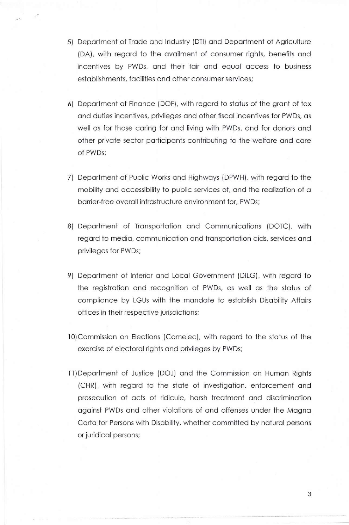- 5) Department of Trade and Industry (DTI) and Department of Agriculture (DA), with regard to the availment of consumer rights, benefits and incentives by PWDs, and their fair and equal access to business establishments, facilities and other consumer services;
- 6) Department of Finance (DOF), with regard to status of the grant of tax and duties incentives, privileges and other fiscal incentives for PWDs, as well as for those caring for and living with PWDs, and for donors and other private sector participants contributing to the welfare and care of PWDs;
- 7) Department of Public Works and Highways (DPWH), with regard to the mobility and accessibility to public services of, and the realization of a barrier-free overall infrastructure environment for, PWDs;
- 8) Department of Transportation and Communications (DOTC), with regard to media, communication and transportation aids, services and privileges for PWDs;
- 9) Department of Interior and Local Government (DILG), with regard to the registration and recognition of PWDs, as well as the status of compliance by LGUs with the mandate to establish Disability Affairs offices in their respective jurisdictions;
- 10)Commission on Elections (Comelec), with regard to the status of the exercise of electoral rights and privileges by PWDs;
- **<sup>11</sup> )** Department of Justice (DOJ) and the Commission on Human Rights (CHR), with regard to the state of investigation, enforcement and prosecution of acts of ridicule, harsh treatment and discrimination against PWDs and other violations of and offenses under the Magna Carta for Persons with Disability, whether committed by natural persons or juridical persons;